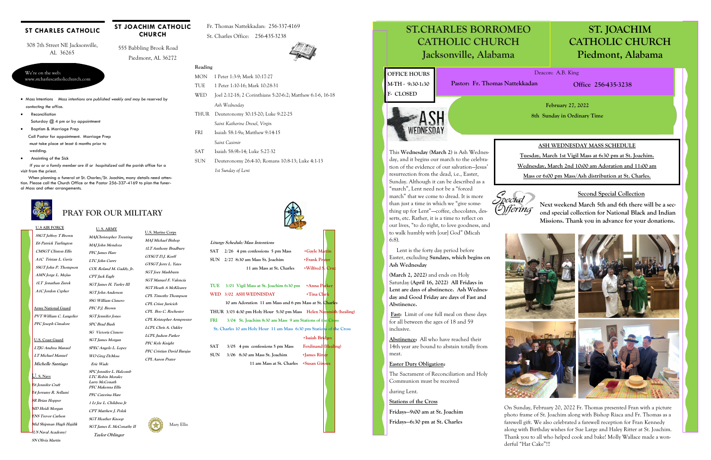# **U.S AIR FORCE**

**SSGT Jeffrey T Brown E6 Patrick Turlington CMSGT Clinton Ellis A1C Tristan L. Gavia SSGT John P. Thompson AMN Jorge L. Mejias 1LT Jonathan Zurek A1C Jordon Cypher** 

# **PRAY FOR OUR MILITARY**

#### **ST CHARLES CATHOLIC**

#### **U. S. ARMY MAJChristopher Treuting**

**MAJ John Mendoza PFC James Hare LTC John Curry COL Roland M. Gaddy, Jr. CPT Jack Eagly SGT James H. Turley III SGT John Anderson SSG William Cisnero PFC P.J. Brown SGT Jennifer Jones SPC Brad Bush** 

**SG Victoria Cisnero SGT James Morgan SPEC Angelo L. Lopez WO Greg DeMoss Eric Wade** 

**SPC Jennifer L. Halcomb LTC Robin Moralez Larry McConath PFC Makenna Ellis** 



 **Taylor Oblinger** 

*If you or a family member are ill or hospitalized call the parish office for a* visit from the priest.

**Army National Guard PVT William C. Langelier PFC Joseph Cimalore** 

**U.S. Coast Guard LTJG Andrea Manuel LT Michael Manuel Michelle Santiago** 

#### We're on the web: www.stcharlescatholicchurch.com

308 7th Street NE Jacksonville, AL 36265

 555 Babbling Brook Road Piedmont, AL 36272

**ST JOACHIM CATHOLIC CHURCH** 

Fr. Thomas Nattekkadan: 256-337-4169 St. Charles Office: 256-435-3238



- Mass Intentions *Mass intentions are published weekly and may be reserved by contacting the office.*
- **•** Reconciliation Saturday @ 4 pm or by appointment
- Baptism & Marriage Prep Call Pastor for appointment. Marriage Prep must take place at least 6 months prior to

#### **TUE 3/01 Vigil Mass at St. Joachim 6:30 pm +Anna Parker**  WED 3/02 ASH WEDNESDAY +Tina Cl

wedding.

Anointing of the Sick

 When planning a funeral at St. Charles/St. Joachim, many details need attention. Please call the Church Office or the Pastor 256-337-4169 to plan the funeral Mass and other arrangements.



#### **Reading**

# I de la provincia de la provincia de la provincia de la provincia de la provincia de la provincia de la provincia d<br>La provincia de la provincia de la provincia de la provincia de la provincia de la provincia de la provinc **ST. JOACHIM CATHOLIC CHURCH Piedmont, Alabama**

**ST.CHARLES BORROMEO** ST. JO CATHOLIC CHURCH **CATHOLIC CHURCH CATHOLIC CHURCH Jacksonville, Alabama**

- MON 1 Peter 1:3-9; Mark 10:17-27
- TUE 1 Peter 1:10-16; Mark 10:28-31
- WED Joel 2:12-18; 2 Corinthians 5:20-6:2; Matthew 6:1-6, 16-18 *Ash Wednesday*
- THUR Deuteronomy 30:15-20; Luke 9:22-25 *Saint Katherine Drexel, Virgin*
- FRI Isaiah 58:1-9a; Matthew 9:14-15 *Saint Casimir*
- SAT Isaiah 58:9b-14; Luke 5:27-32
- SUN Deuteronomy 26:4-10; Romans 10:8-13; Luke 4:1-13 *1st Sunday of Lent*



**U.S. Marine Corps MAJ Michael Bishop 1LT Anthony Bradbury** 

**GYSGT D.J. Korff GYSGT Jerry L. Yates SGT Joey Mashburn SGT Manuel F. Valencia SGT Heath A McKlearey CPL Timothy Thompson CPL Crissy Juricich CPL Boo C. Rochester CPL Kristopher Armprester** 

**LCPL Chris A. Oakley LCPL Judson Parker** 

**PFC Kyle Knight PFC Cristian David Barajas** 

**CPL Aaron Prater** 

#### **U. S. Navy**

**E6 Jennifer Craft E4 Jerramy R. Sollami SR Brian Hopper MD Heidi Morgan ENS Trevor Carlson Mid Shipman Hugh Hajdik (US Naval Academy) SN Olivia Martin** 

Mary Ellis

| Liturgy Schedule/Mass Intentions      |                   |
|---------------------------------------|-------------------|
| SAT $2/26$ 4 pm confessions 5 pm Mass | +Gayle Martin     |
| SUN 2/27 8:30 am Mass St. Joachim     | +Frank Prater     |
| 11 am Mass at St. Charles             | +Wilfred \$. Cruz |

 **10 am Adoration 11 am Mass and 6 pm Mass at St. Charles THUR 3/03 4:30 pm Holy Hour 5:30 pm Mass Helen Naysmith (healing) FRI 3/04 St. Joachim 8:30 am Mass 9 am Stations of the Cross St. Charles 10 am Holy Hour 11 am Mass 6:30 pm Stations of the Cross +Isaiah Bridges** 

**SAT 3/05 4 pm confessions 5 pm Mass Ferdinand (Healing)**  SUN 3/06 8:30 am Mass St. Joachim +James Ritt  **11 am Mass at St. Charles +Susan Giroux** 



**February 27, 2022 8th Sunday in Ordinary Time** 

Deacon: A.B. King

**Office 256-435-3238** 

This **Wednesday (March 2)** is Ash Wednesday, and it begins our march to the celebration of the evidence of our salvation—Jesus' resurrection from the dead, i.e., Easter, Sunday. Although it can be described as a "march", Lent need not be a "forced march" that we come to dread. It is more than just a time in which we "give something up for Lent"-coffee, chocolates, desserts, etc. Rather, it is a time to reflect on our lives, "to do right, to love goodness, and to walk humbly with [our] God" (Micah 6:8).



 Lent is the forty day period before Easter, excluding **Sundays, which begins on Ash Wednesday** 

**(March 2, 2022)** and ends on Holy Saturday (**April 16, 2022) All Fridays in Lent are days of abstinence. Ash Wednesday and Good Friday are days of Fast and Abstinence.** 

 **Fast:** Limit of one full meal on these days for all between the ages of 18 and 59 inclusive.

**Abstinence:** All who have reached their 14th year are bound to abstain totally from meat.

#### **Easter Duty Obligation:**

The Sacrament of Reconciliation and Holy Communion must be received

during Lent.

**Stations of the Cross** 

**Fridays—9:00 am at St. Joachim** 

**Fridays—6:30 pm at St. Charles** 

#### **Second Special Collection**

**Next weekend March 5th and 6th there will be a second special collection for National Black and Indian Missions. Thank you in advance for your donations.** 

On Sunday, February 20, 2022 Fr. Thomas presented Fran with a picture photo frame of St. Joachim along with Bishop Riaca and Fr. Thomas as a farewell gift. We also celebrated a farewell reception for Fran Kennedy along with Birthday wishes for Sue Large and Haley Ritter at St. Joachim. Thank you to all who helped cook and bake! Molly Wallace made a wonderful "Hat Cake"!!!

## **ASH WEDNESDAY MASS SCHEDULE**



**Tuesday, March 1st Vigil Mass at 6:30 pm at St. Joachim. Wednesday, March 2nd 10:00 am Adoration and 11:00 am Mass or 6:00 pm Mass/Ash distribution at St. Charles.**